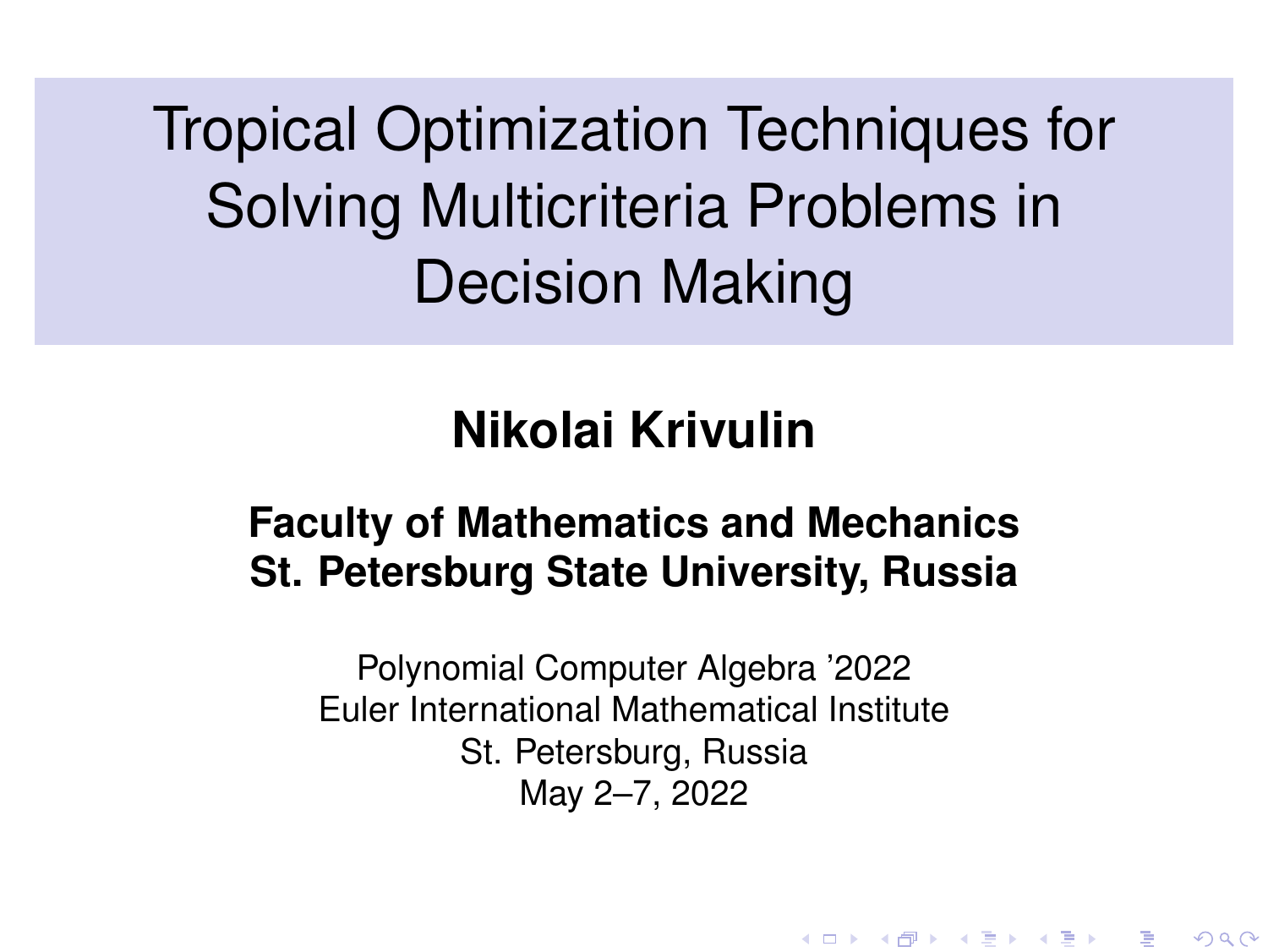<span id="page-0-0"></span>Tropical Optimization Techniques for Solving Multicriteria Problems in Decision Making

# **Nikolai Krivulin**

#### **Faculty of Mathematics and Mechanics St. Petersburg State University, Russia**

Polynomial Computer Algebra '2022 Euler International Mathematical Institute St. Petersburg, Russia May 2–7, 2022

K ロ ▶ K 御 ▶ K 결 ▶ K 결 ▶ ○ 결

 $2Q$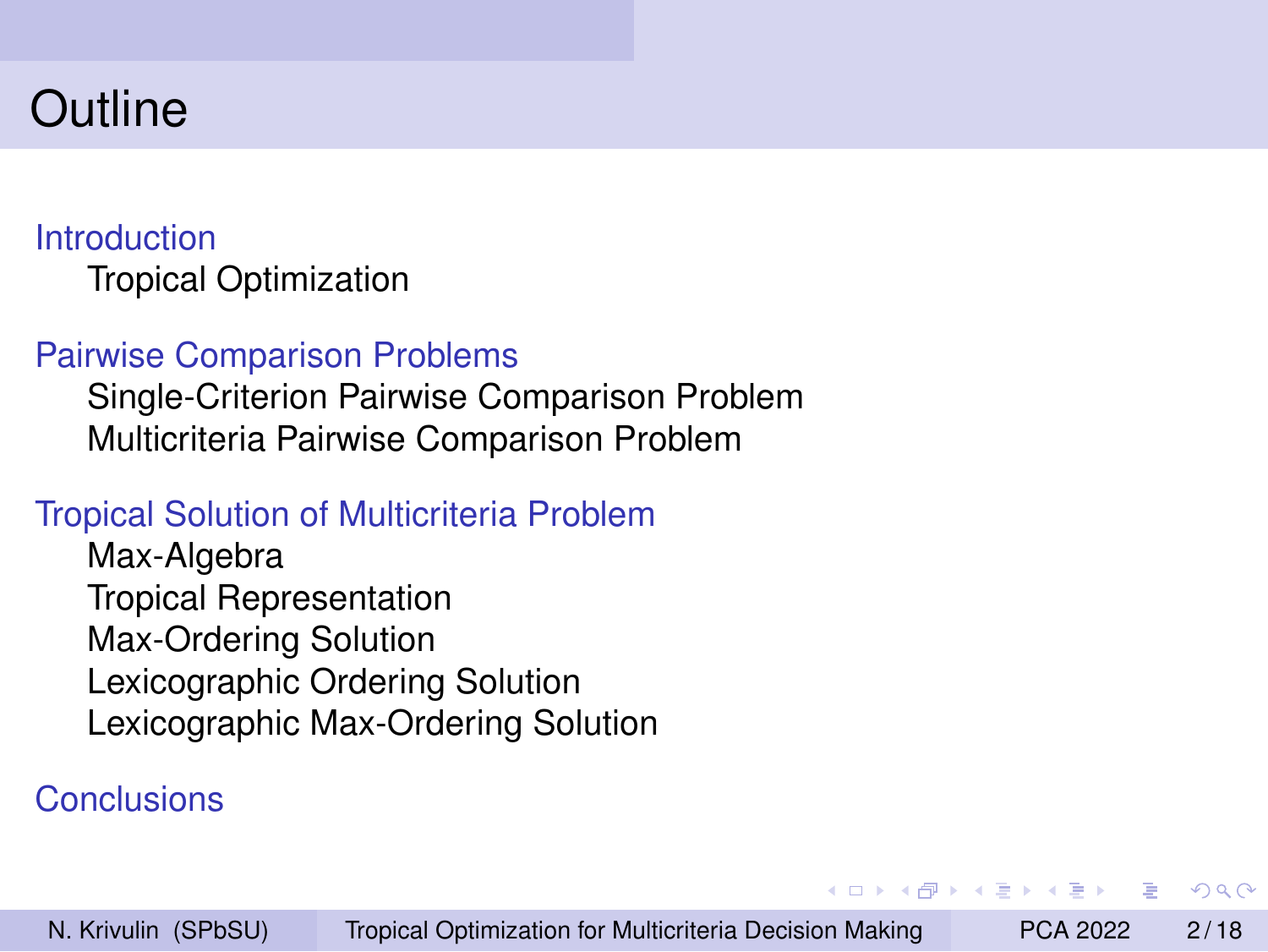## **Outline**

#### [Introduction](#page-2-0) [Tropical Optimization](#page-2-0)

#### [Pairwise Comparison Problems](#page-3-0)

[Single-Criterion Pairwise Comparison Problem](#page-3-0) [Multicriteria Pairwise Comparison Problem](#page-6-0)

#### [Tropical Solution of Multicriteria Problem](#page-7-0)

[Max-Algebra](#page-7-0) [Tropical Representation](#page-8-0) [Max-Ordering Solution](#page-9-0) [Lexicographic Ordering Solution](#page-11-0) [Lexicographic Max-Ordering Solution](#page-14-0)

#### [Conclusions](#page-17-0)

医毛囊 医毛囊 医心包

 $\Omega$ 

 $\leftarrow$   $\overline{m}$   $\rightarrow$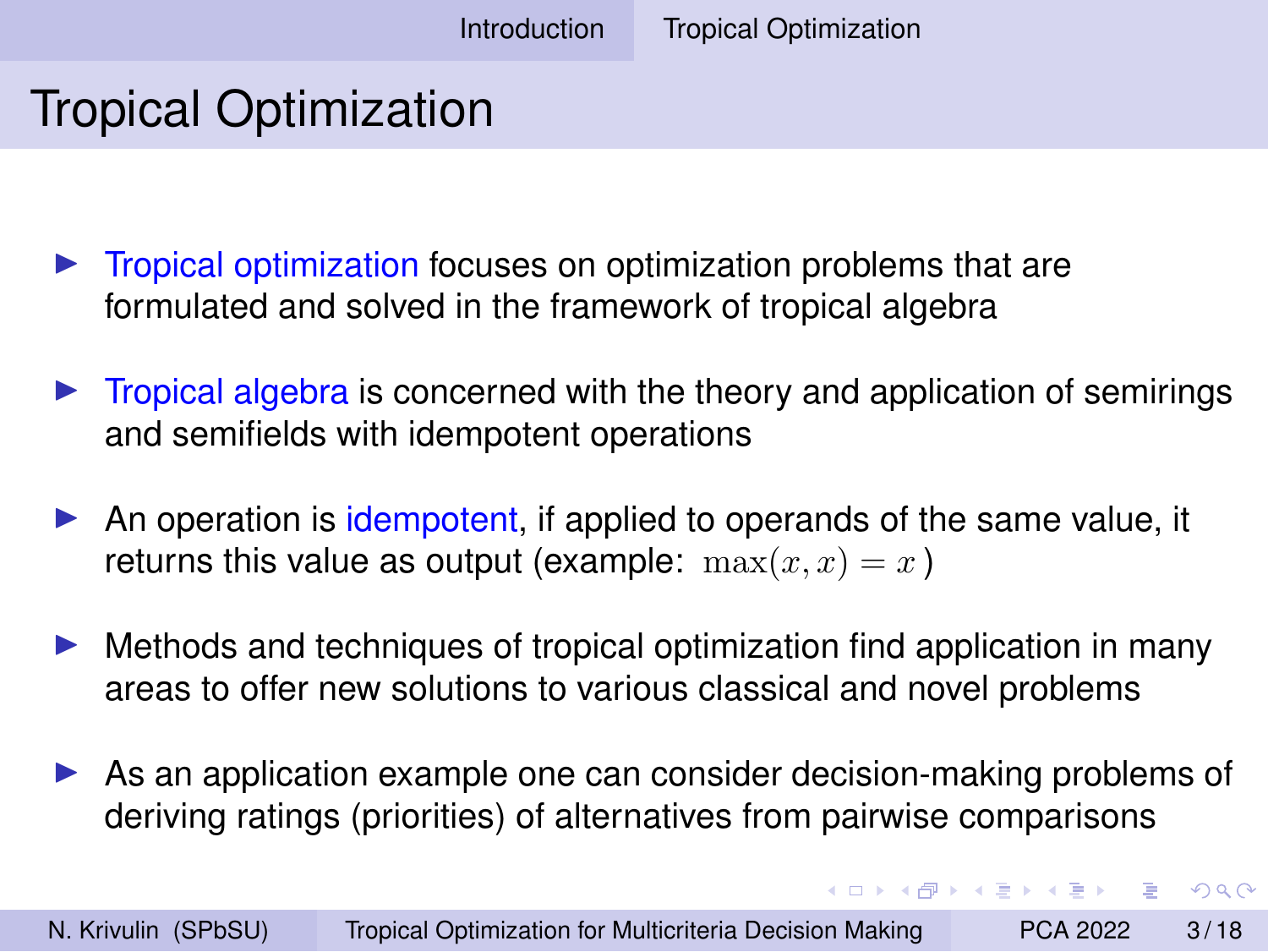# <span id="page-2-0"></span>Tropical Optimization

- ▶ Tropical optimization focuses on optimization problems that are formulated and solved in the framework of tropical algebra
- $\triangleright$  Tropical algebra is concerned with the theory and application of semirings and semifields with idempotent operations
- ▶ An operation is idempotent, if applied to operands of the same value, it returns this value as output (example:  $\max(x, x) = x$ )
- $\blacktriangleright$  Methods and techniques of tropical optimization find application in many areas to offer new solutions to various classical and novel problems
- ► As an application example one can consider decision-making problems of deriving ratings (priorities) of alternatives from pairwise comparisons

イロメ イ母メ イヨメ イヨメーヨー

 $QQ$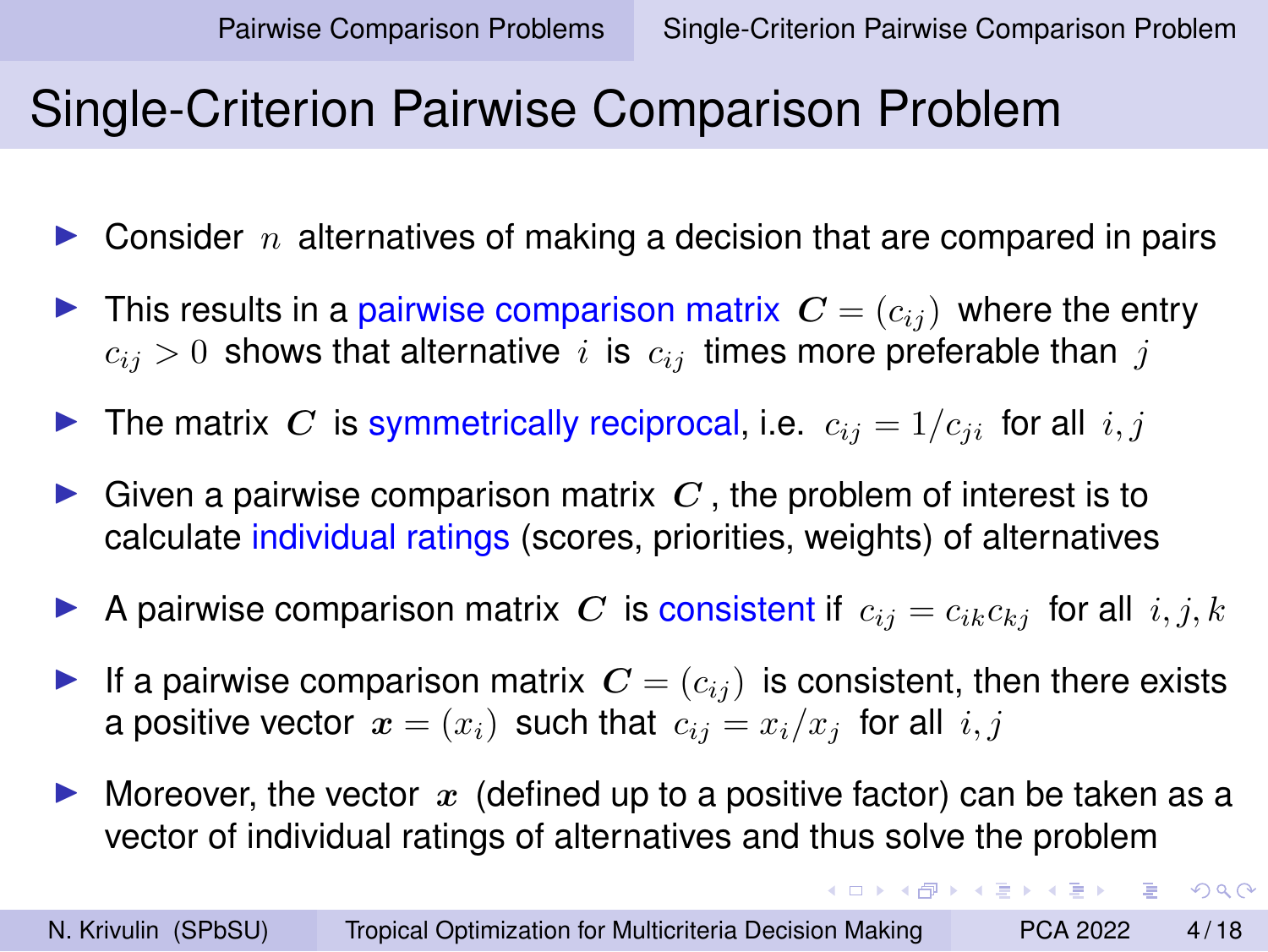**KORK ERREST ADAMS** 

#### <span id="page-3-0"></span>Single-Criterion Pairwise Comparison Problem

- $\triangleright$  Consider n alternatives of making a decision that are compared in pairs
- $\blacktriangleright$  This results in a pairwise comparison matrix  $\mathbf{C} = (c_{ij})$  where the entry  $c_{ij} > 0$  shows that alternative i is  $c_{ij}$  times more preferable than j
- $\blacktriangleright$  The matrix C is symmetrically reciprocal, i.e.  $c_{ij} = 1/c_{ji}$  for all  $i, j$
- Given a pairwise comparison matrix  $C$ , the problem of interest is to calculate individual ratings (scores, priorities, weights) of alternatives
- A pairwise comparison matrix C is consistent if  $c_{ij} = c_{ik}c_{kj}$  for all  $i, j, k$
- If a pairwise comparison matrix  $\mathbf{C} = (c_{ij})$  is consistent, then there exists a positive vector  $x = (x_i)$  such that  $c_{ii} = x_i/x_i$  for all  $i, j$
- $\triangleright$  Moreover, the vector x (defined up to a positive factor) can be taken as a vector of individual ratings of alternatives and thus solve the problem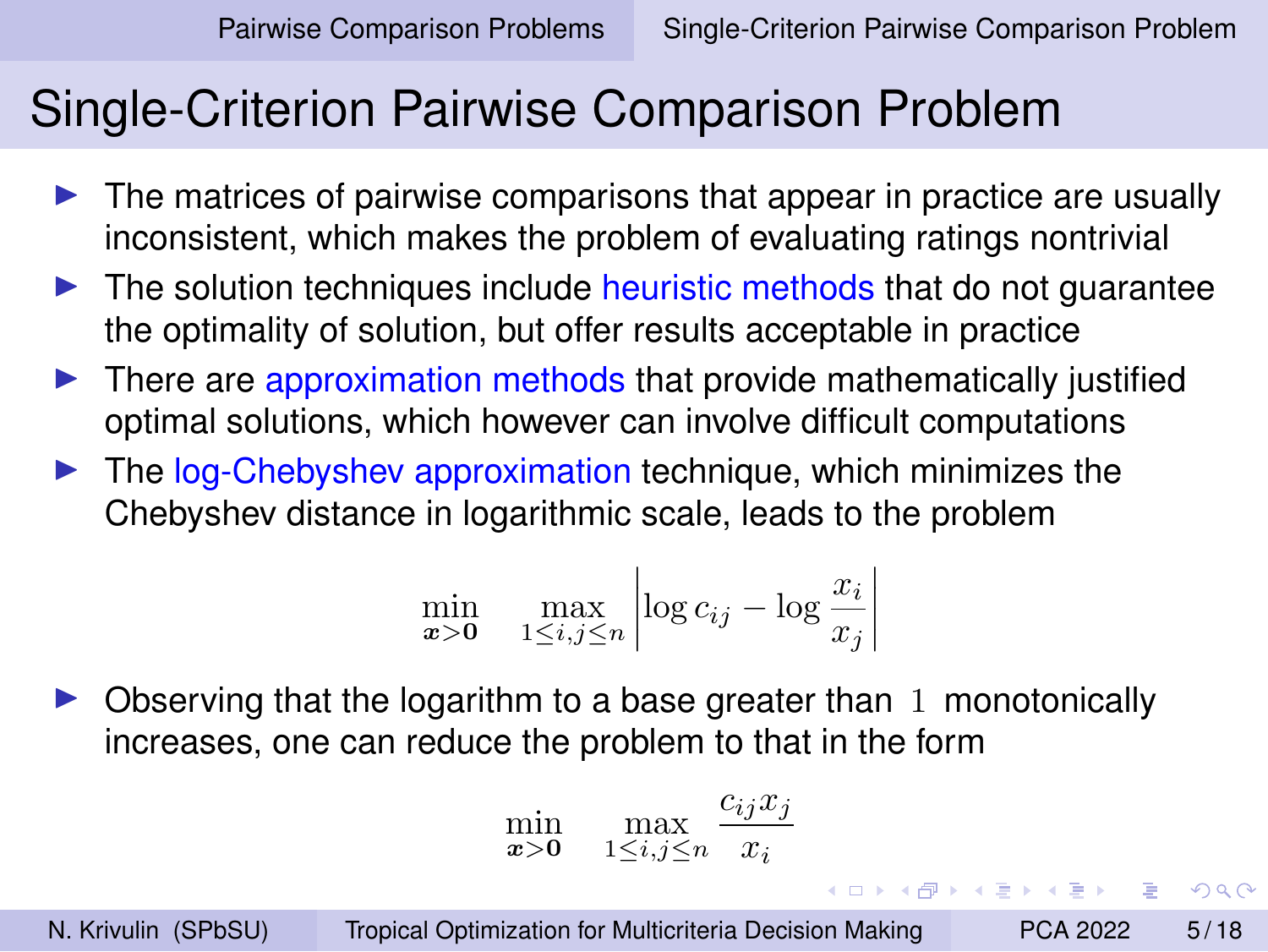$2990$ 

## Single-Criterion Pairwise Comparison Problem

- $\blacktriangleright$  The matrices of pairwise comparisons that appear in practice are usually inconsistent, which makes the problem of evaluating ratings nontrivial
- $\blacktriangleright$  The solution techniques include heuristic methods that do not quarantee the optimality of solution, but offer results acceptable in practice
- $\triangleright$  There are approximation methods that provide mathematically justified optimal solutions, which however can involve difficult computations
- $\blacktriangleright$  The log-Chebyshev approximation technique, which minimizes the Chebyshev distance in logarithmic scale, leads to the problem

$$
\min_{\mathbf{x} > \mathbf{0}} \quad \max_{1 \le i, j \le n} \left| \log c_{ij} - \log \frac{x_i}{x_j} \right|
$$

◮ Observing that the logarithm to a base greater than 1 monotonically increases, one can reduce the problem to that in the form

$$
\min_{\pmb{x} > \pmb{0}} \quad \max_{1 \le i,j \le n} \frac{c_{ij} x_j}{x_i}
$$

N. Krivulin (SPbSU) [Tropical Optimization for Multicriteria Decision Making](#page-0-0) PCA 2022 5/18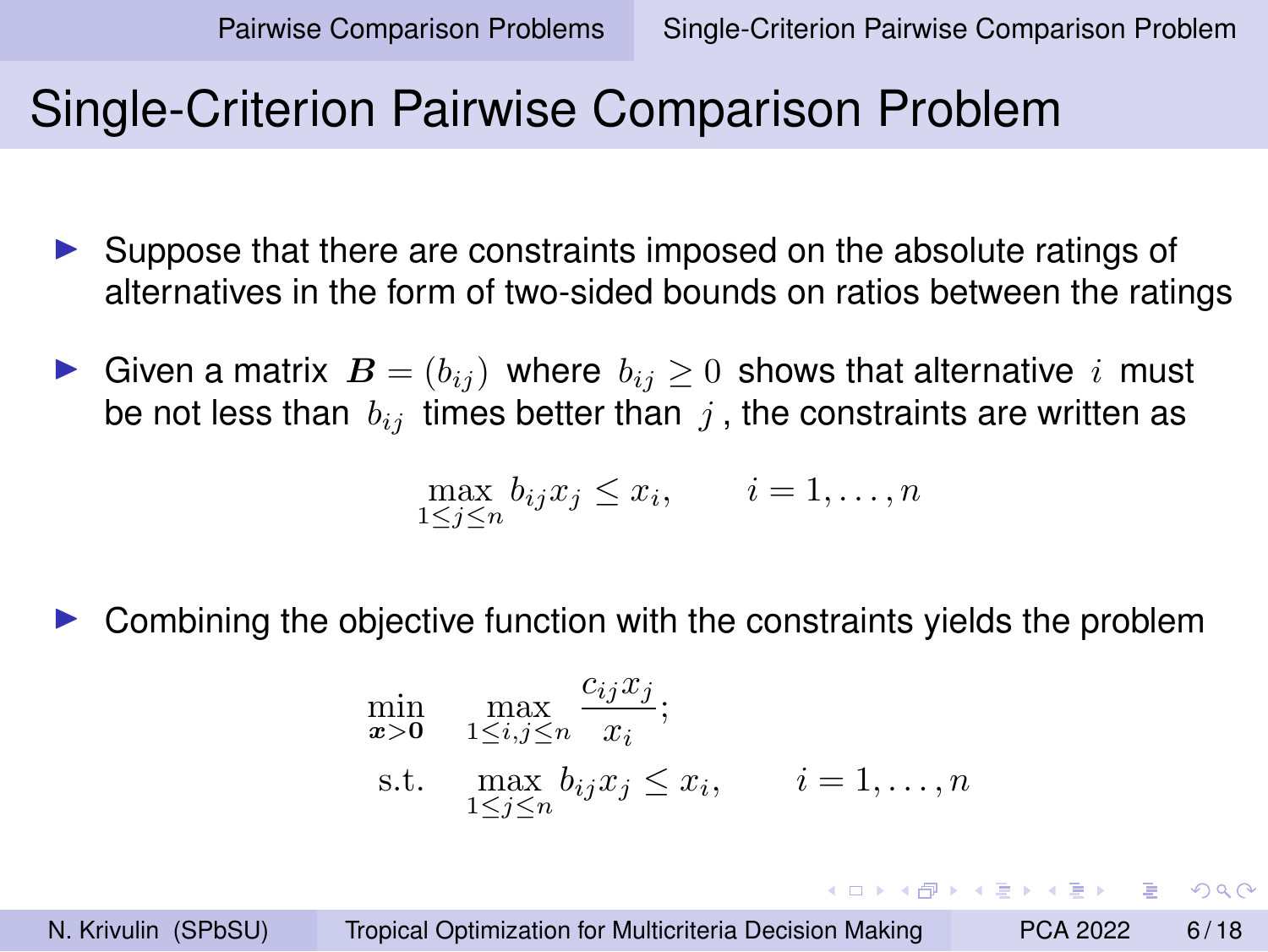KEL KALK KELKEL EL YAN

## <span id="page-5-0"></span>Single-Criterion Pairwise Comparison Problem

- ► Suppose that there are constraints imposed on the absolute ratings of alternatives in the form of two-sided bounds on ratios between the ratings
- ► Given a matrix  $\mathbf{B} = (b_{ij})$  where  $b_{ij} \geq 0$  shows that alternative i must be not less than  $b_{ij}$  times better than j, the constraints are written as

$$
\max_{1 \le j \le n} b_{ij} x_j \le x_i, \qquad i = 1, \dots, n
$$

◮ Combining the objective function with the constraints yields the problem

$$
\min_{\mathbf{x} > \mathbf{0}} \max_{1 \le i, j \le n} \frac{c_{ij} x_j}{x_i};
$$
\n
$$
\text{s.t.} \max_{1 \le j \le n} b_{ij} x_j \le x_i, \qquad i = 1, \dots, n
$$

N. Krivulin (SPbSU) [Tropical Optimization for Multicriteria Decision Making](#page-0-0) PCA 2022 6/18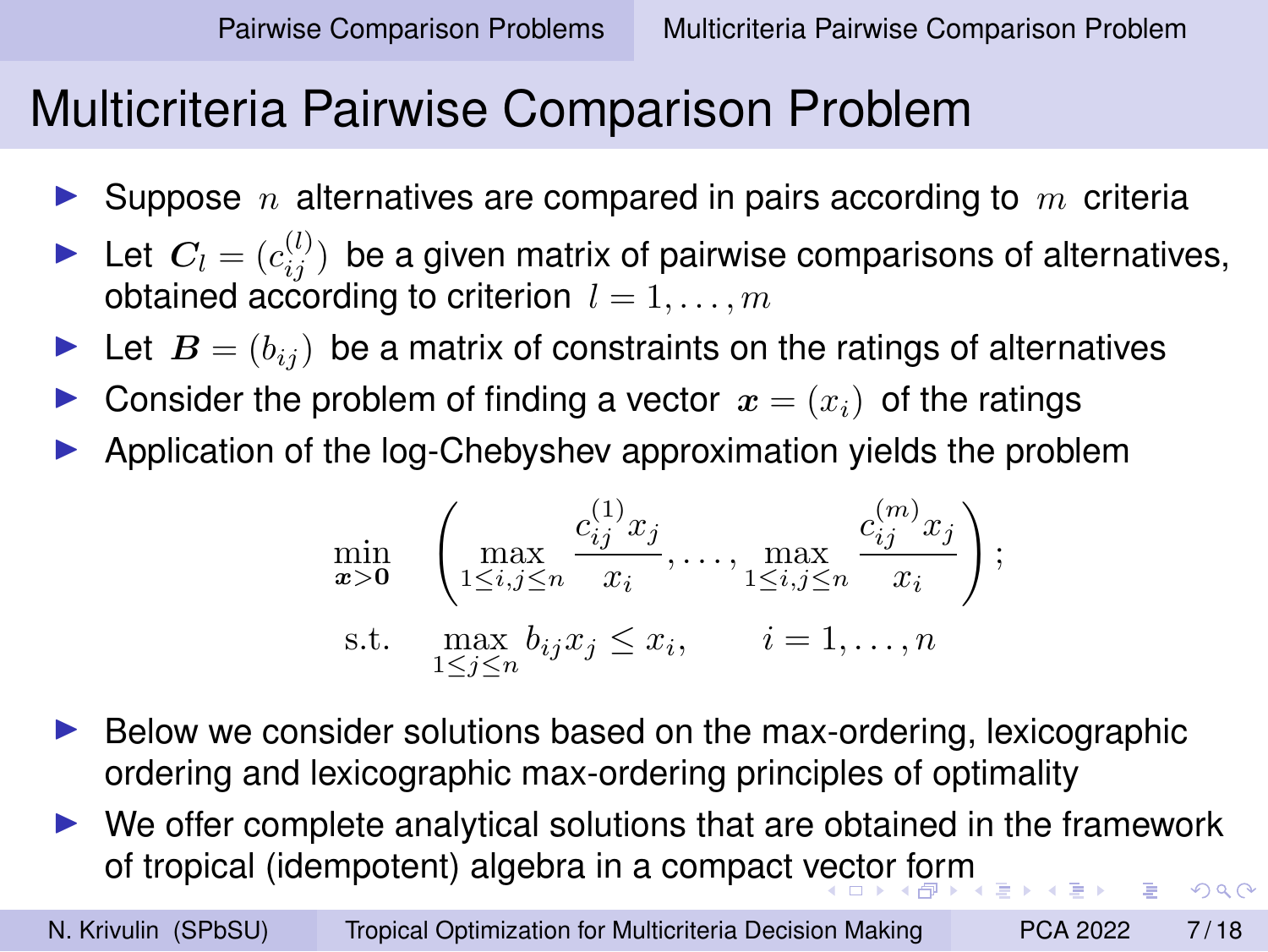# <span id="page-6-0"></span>Multicriteria Pairwise Comparison Problem

- Suppose n alternatives are compared in pairs according to  $m$  criteria
- Let  $C_l = (c_{ij}^{(l)})$  be a given matrix of pairwise comparisons of alternatives, obtained according to criterion  $l = 1, \ldots, m$
- Let  $B = (b_{ij})$  be a matrix of constraints on the ratings of alternatives
- Consider the problem of finding a vector  $x = (x_i)$  of the ratings
- ◮ Application of the log-Chebyshev approximation yields the problem

$$
\min_{\mathbf{x} > \mathbf{0}} \quad \left( \max_{1 \le i,j \le n} \frac{c_{ij}^{(1)} x_j}{x_i}, \dots, \max_{1 \le i,j \le n} \frac{c_{ij}^{(m)} x_j}{x_i} \right);
$$
\n
$$
\text{s.t.} \quad \max_{1 \le j \le n} b_{ij} x_j \le x_i, \qquad i = 1, \dots, n
$$

- $\blacktriangleright$  Below we consider solutions based on the max-ordering, lexicographic ordering and lexicographic max-ordering principles of optimality
- We offer complete analytical solutions that are obtained in the framework of tropical (idempotent) algebra in a compact [vec](#page-5-0)t[or](#page-7-0) [f](#page-5-0)[or](#page-6-0)[m](#page-7-0)  $000$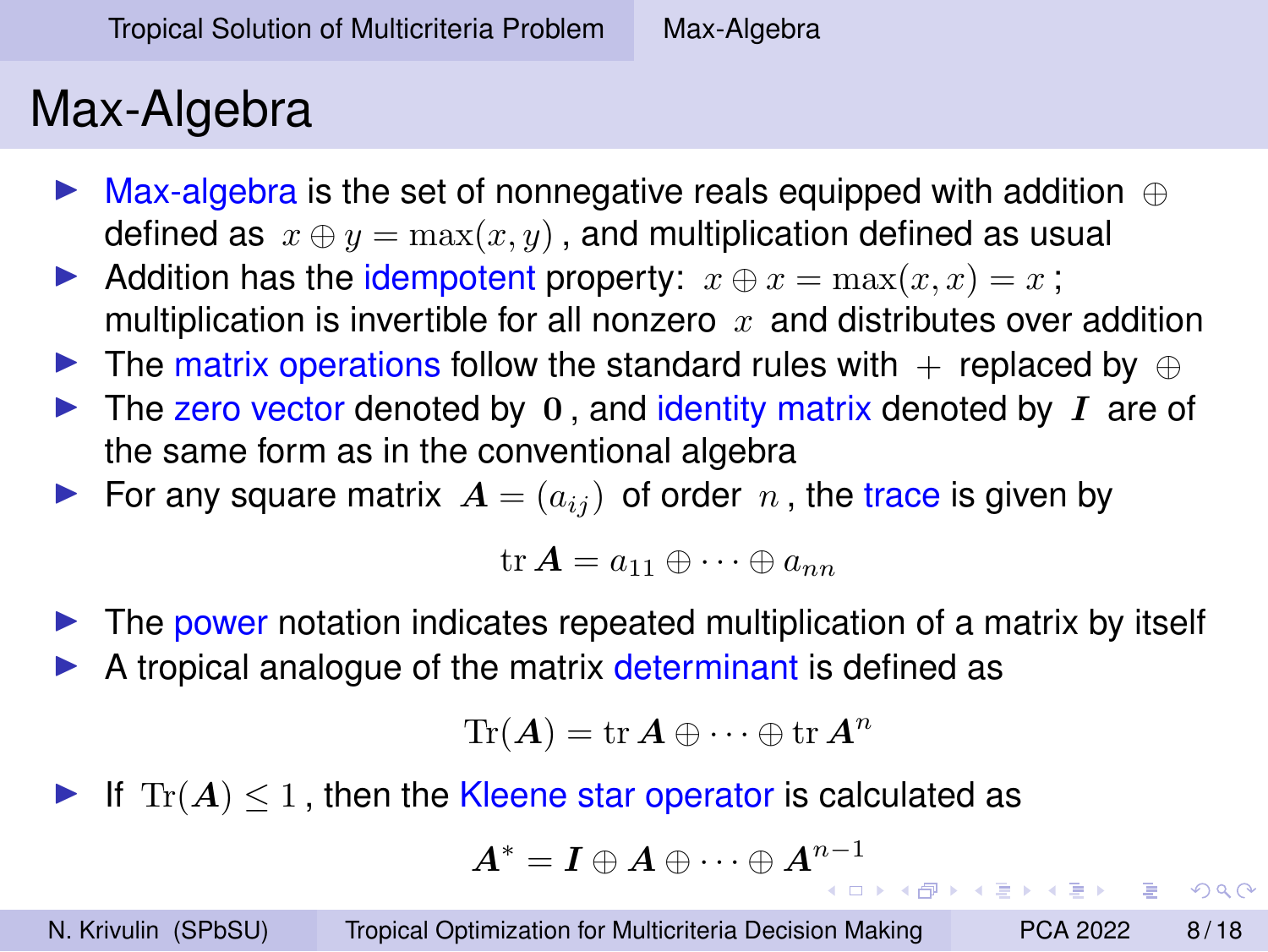# <span id="page-7-0"></span>Max-Algebra

- ► Max-algebra is the set of nonnegative reals equipped with addition  $\oplus$ defined as  $x \oplus y = \max(x, y)$ , and multiplication defined as usual
- Addition has the idempotent property:  $x \oplus x = \max(x, x) = x$ ; multiplication is invertible for all nonzero  $x$  and distributes over addition
- $\triangleright$  The matrix operations follow the standard rules with  $+$  replaced by  $\oplus$
- $\triangleright$  The zero vector denoted by 0, and identity matrix denoted by I are of the same form as in the conventional algebra
- $\blacktriangleright$  For any square matrix  $A = (a_{ij})$  of order n, the trace is given by

 $\mathrm{tr}\,\bm{A}=a_{11}\oplus\cdots\oplus a_{nn}$ 

- $\triangleright$  The power notation indicates repeated multiplication of a matrix by itself
- A tropical analogue of the matrix determinant is defined as

$$
\text{Tr}(\bm{A}) = \text{tr}\,\bm{A} \oplus \cdots \oplus \text{tr}\,\bm{A}^n
$$

If  $\text{Tr}(A) < 1$ , then the Kleene star operator is calculated as

$$
\bm{A}^* = \bm{I} \oplus \bm{A} \oplus \cdots \oplus \bm{A}^{n-1}
$$

N. Krivulin (SPbSU) [Tropical Optimization for Multicriteria Decision Making](#page-0-0) PCA 2022 8/18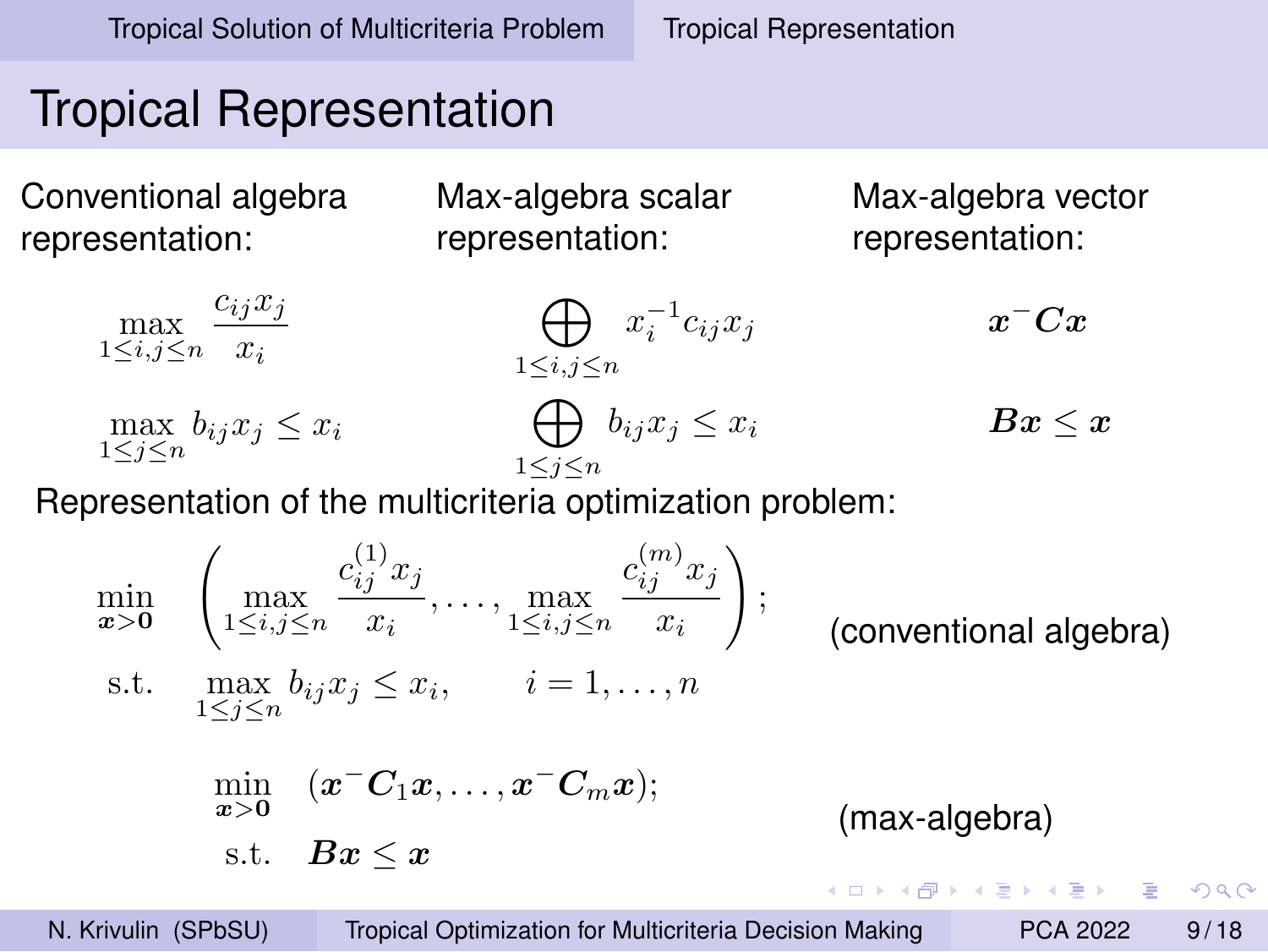# <span id="page-8-0"></span>Tropical Representation

Conventional algebra representation:

Max-algebra scalar representation:

Max-algebra vector representation:

$$
\max_{1 \le i,j \le n} \frac{c_{ij}x_j}{x_i} \qquad \qquad \bigoplus_{1 \le i,j \le n} x_i^{-1}c_{ij}x_j \qquad \qquad x^- C x
$$
\n
$$
\max_{1 \le j \le n} b_{ij}x_j \le x_i \qquad \qquad \bigoplus_{1 \le j \le n} b_{ij}x_j \le x_i \qquad \qquad Bx \le x
$$

Representation of the multicriteria optimization problem:

$$
\min_{\mathbf{x} > \mathbf{0}} \left( \max_{1 \le i,j \le n} \frac{c_{ij}^{(1)} x_j}{x_i}, \dots, \max_{1 \le i,j \le n} \frac{c_{ij}^{(m)} x_j}{x_i} \right);
$$
\n \text{(conventional algebra)}

\ns.t.

\n
$$
\max_{1 \le j \le n} b_{ij} x_j \le x_i, \quad i = 1, \dots, n
$$
\n
$$
\min_{\mathbf{x} > \mathbf{0}} (\mathbf{x} - \mathbf{C}_1 \mathbf{x}, \dots, \mathbf{x} - \mathbf{C}_m \mathbf{x});
$$
\n
$$
\text{ s.t. } \mathbf{Bx} \le \mathbf{x}
$$
\n(max-algebra)

\n
$$
\text{max-algebra}
$$

N. Krivulin (SPbSU) [Tropical Optimization for Multicriteria Decision Making](#page-0-0) PCA 2022 9/18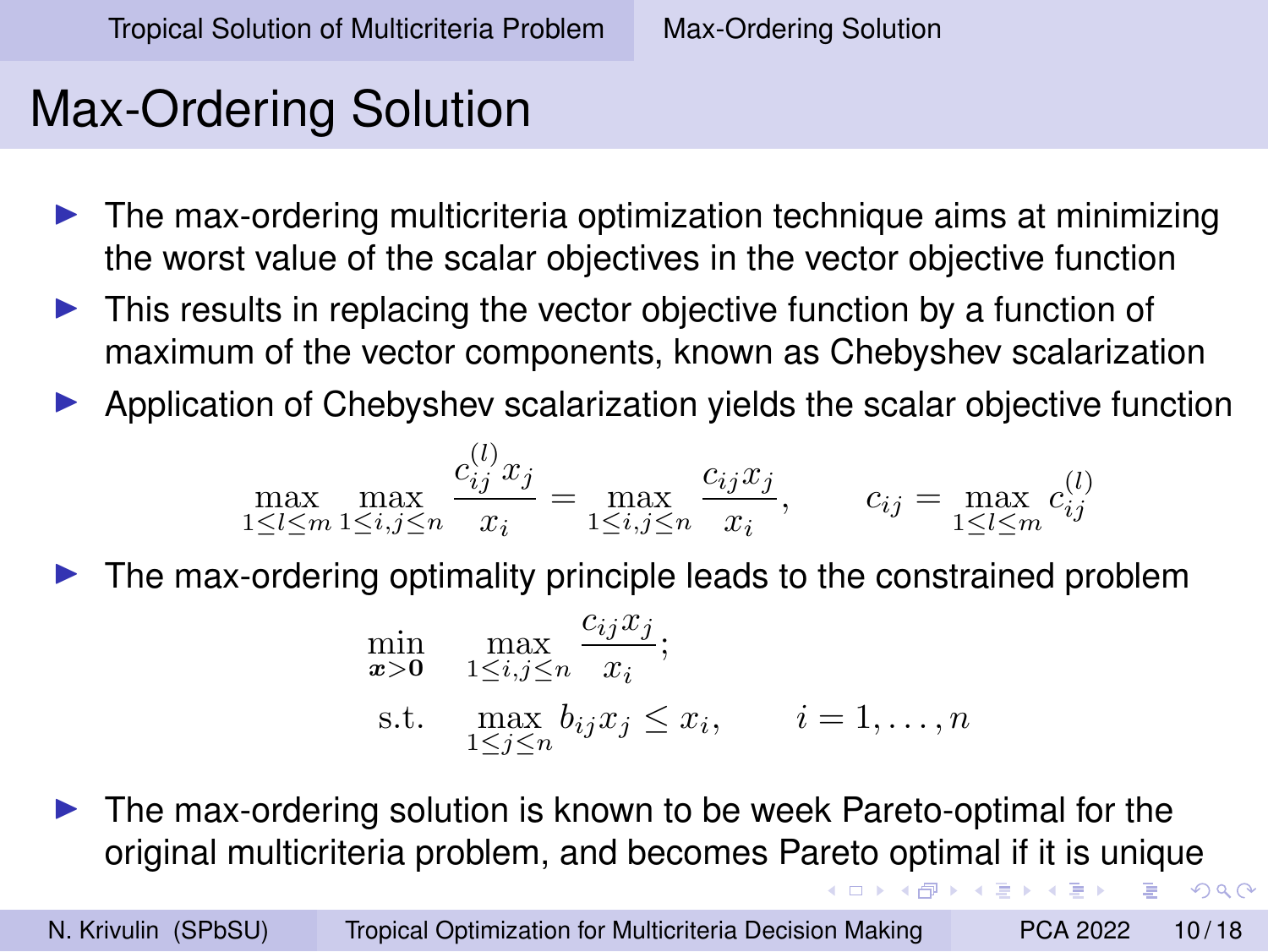# <span id="page-9-0"></span>Max-Ordering Solution

- ◮ The max-ordering multicriteria optimization technique aims at minimizing the worst value of the scalar objectives in the vector objective function
- $\blacktriangleright$  This results in replacing the vector objective function by a function of maximum of the vector components, known as Chebyshev scalarization
- ◮ Application of Chebyshev scalarization yields the scalar objective function

$$
\max_{1 \le l \le m} \max_{1 \le i, j \le n} \frac{c_{ij}^{(l)} x_j}{x_i} = \max_{1 \le i, j \le n} \frac{c_{ij} x_j}{x_i}, \qquad c_{ij} = \max_{1 \le l \le m} c_{ij}^{(l)}
$$

◮ The max-ordering optimality principle leads to the constrained problem

$$
\min_{\mathbf{x} > \mathbf{0}} \quad \max_{1 \le i,j \le n} \frac{c_{ij} x_j}{x_i};
$$
\n
$$
\text{s.t.} \quad \max_{1 \le j \le n} b_{ij} x_j \le x_i, \qquad i = 1, \dots, n
$$

The max-ordering solution is known to be week Pareto-optimal for the original multicriteria problem, and becomes Pareto optimal if it is unique

N. Krivulin (SPbSU) [Tropical Optimization for Multicriteria Decision Making](#page-0-0) PCA 2022 10/18

 $QQ$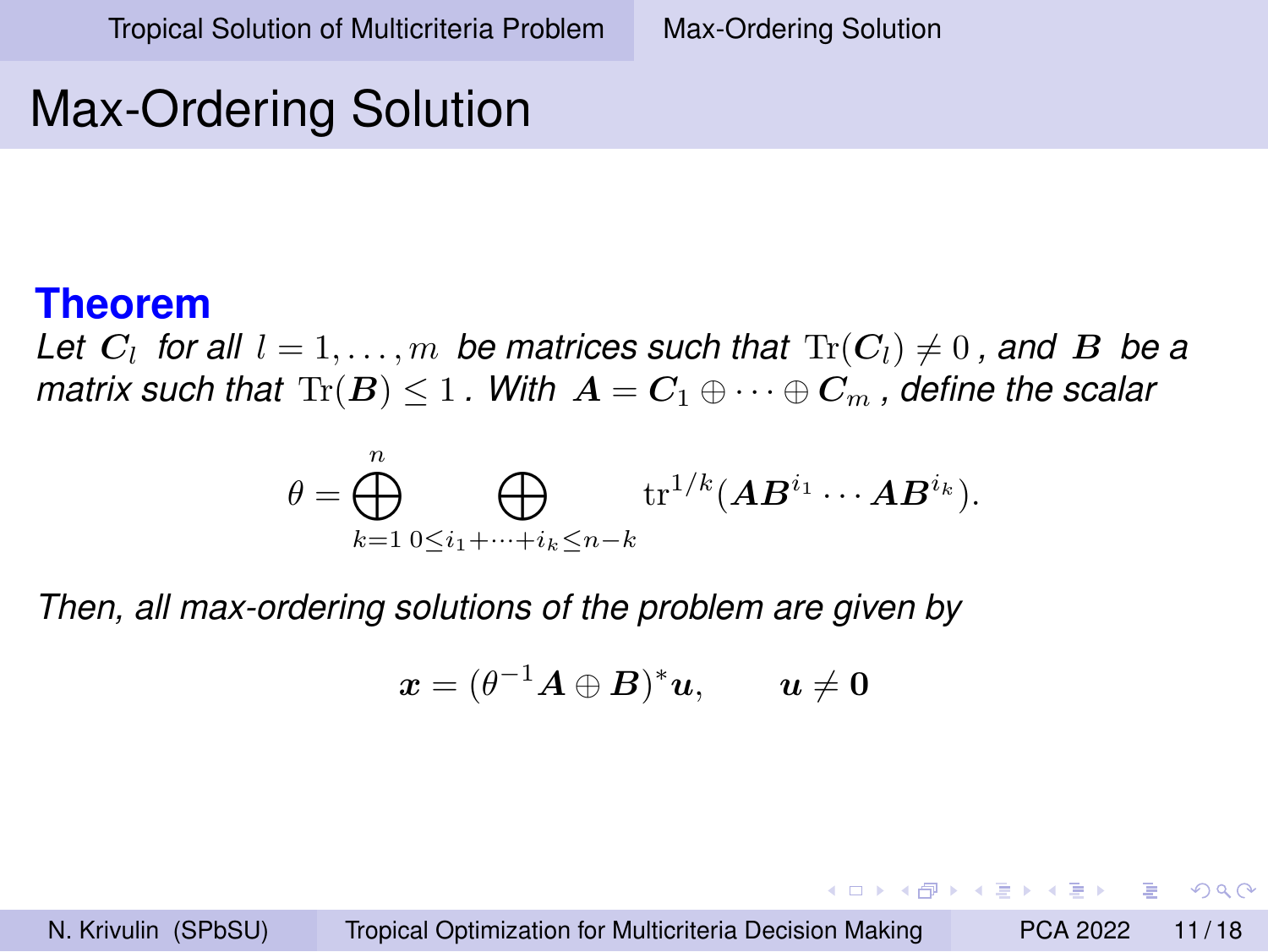# Max-Ordering Solution

#### **Theorem**

Let  $C_l$  for all  $l = 1, \ldots, m$  be matrices such that  $\text{Tr}(C_l) \neq 0$  , and  $\boldsymbol{B}$  be a *matrix such that*  $Tr(B) \leq 1$ . With  $A = C_1 \oplus \cdots \oplus C_m$ , define the scalar

$$
\theta = \bigoplus_{k=1}^n \bigoplus_{0 \leq i_1 + \dots + i_k \leq n-k} \operatorname{tr}^{1/k}(\boldsymbol{A}\boldsymbol{B}^{i_1} \cdots \boldsymbol{A}\boldsymbol{B}^{i_k}).
$$

*Then, all max-ordering solutions of the problem are given by*

$$
\boldsymbol{x} = (\theta^{-1}\boldsymbol{A}\oplus\boldsymbol{B})^*\boldsymbol{u}, \qquad \boldsymbol{u}\neq \boldsymbol{0}
$$

N. Krivulin (SPbSU) [Tropical Optimization for Multicriteria Decision Making](#page-0-0) PCA 2022 11 / 18

K ロ ▶ K 何 ▶ K ヨ ▶ K ヨ ▶ ...

 $QQ$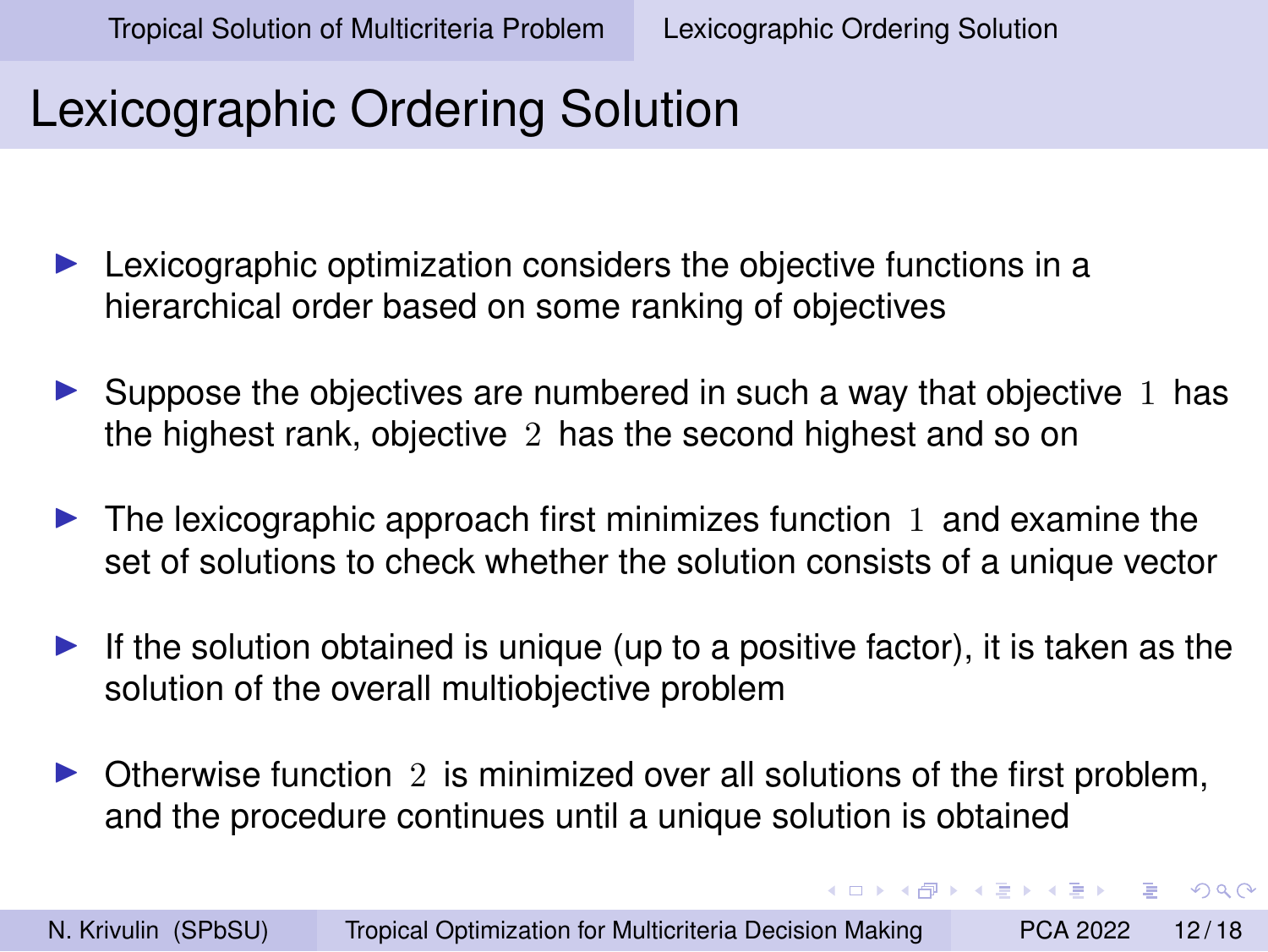K ロ ▶ K 何 ▶ K ヨ ▶ K ヨ ▶ ...

 $2990$ 

## <span id="page-11-0"></span>Lexicographic Ordering Solution

- $\blacktriangleright$  Lexicographic optimization considers the objective functions in a hierarchical order based on some ranking of objectives
- $\triangleright$  Suppose the objectives are numbered in such a way that objective 1 has the highest rank, objective 2 has the second highest and so on
- $\blacktriangleright$  The lexicographic approach first minimizes function 1 and examine the set of solutions to check whether the solution consists of a unique vector
- If the solution obtained is unique (up to a positive factor), it is taken as the solution of the overall multiobjective problem
- $\triangleright$  Otherwise function 2 is minimized over all solutions of the first problem, and the procedure continues until a unique solution is obtained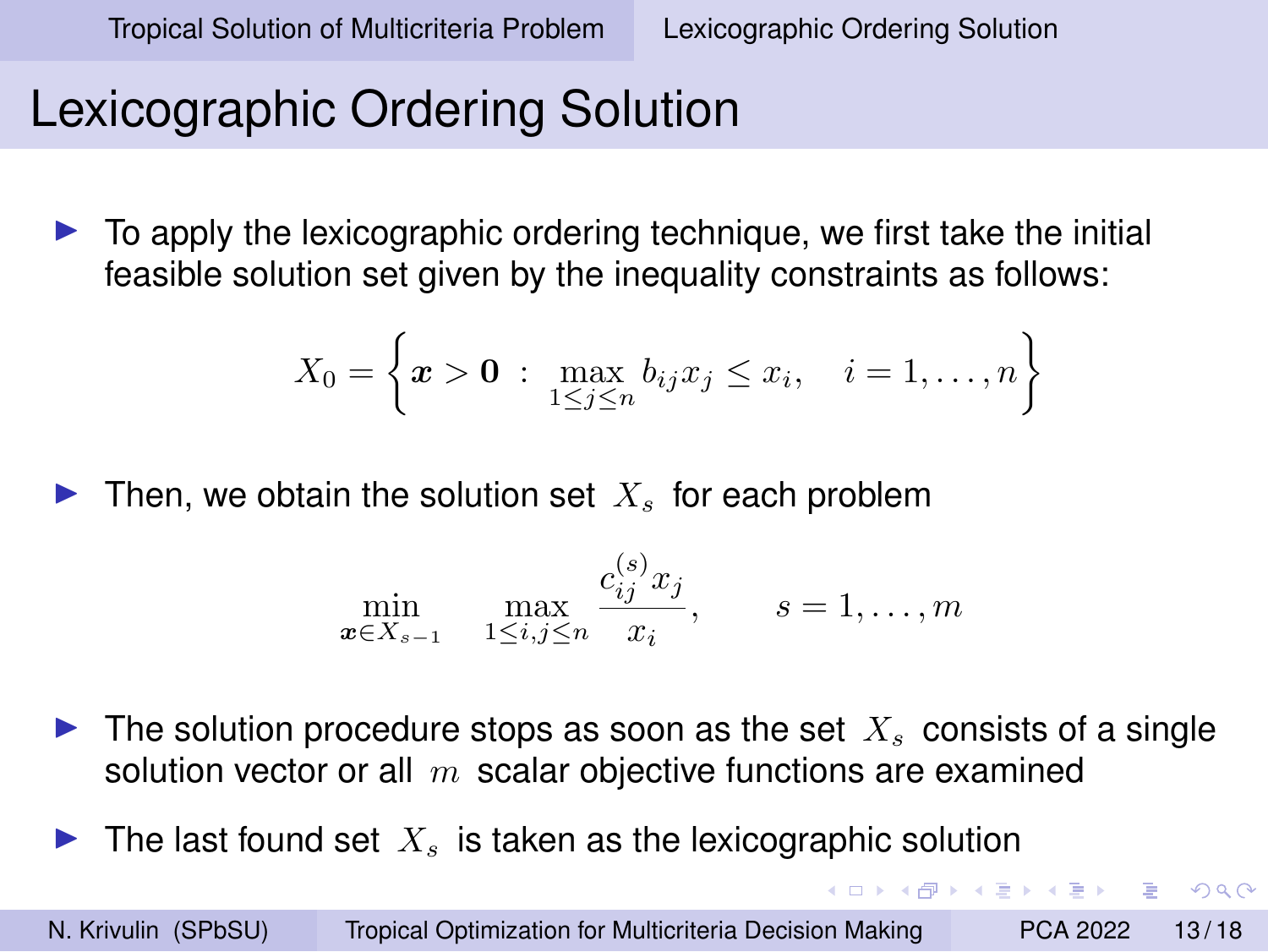**KORK ERREST ADAMS** 

## Lexicographic Ordering Solution

 $\triangleright$  To apply the lexicographic ordering technique, we first take the initial feasible solution set given by the inequality constraints as follows:

$$
X_0 = \left\{ \boldsymbol{x} > \boldsymbol{0} : \max_{1 \leq j \leq n} b_{ij} x_j \leq x_i, \quad i = 1, \dots, n \right\}
$$

Then, we obtain the solution set  $X<sub>s</sub>$  for each problem

$$
\min_{\mathbf{x}\in X_{s-1}} \max_{1\leq i,j\leq n} \frac{c_{ij}^{(s)} x_j}{x_i}, \qquad s=1,\ldots,m
$$

- $\blacktriangleright$  The solution procedure stops as soon as the set  $X_s$  consists of a single solution vector or all  $m$  scalar objective functions are examined
- $\blacktriangleright$  The last found set  $X_s$  is taken as the lexicographic solution

N. Krivulin (SPbSU) [Tropical Optimization for Multicriteria Decision Making](#page-0-0) PCA 2022 13/18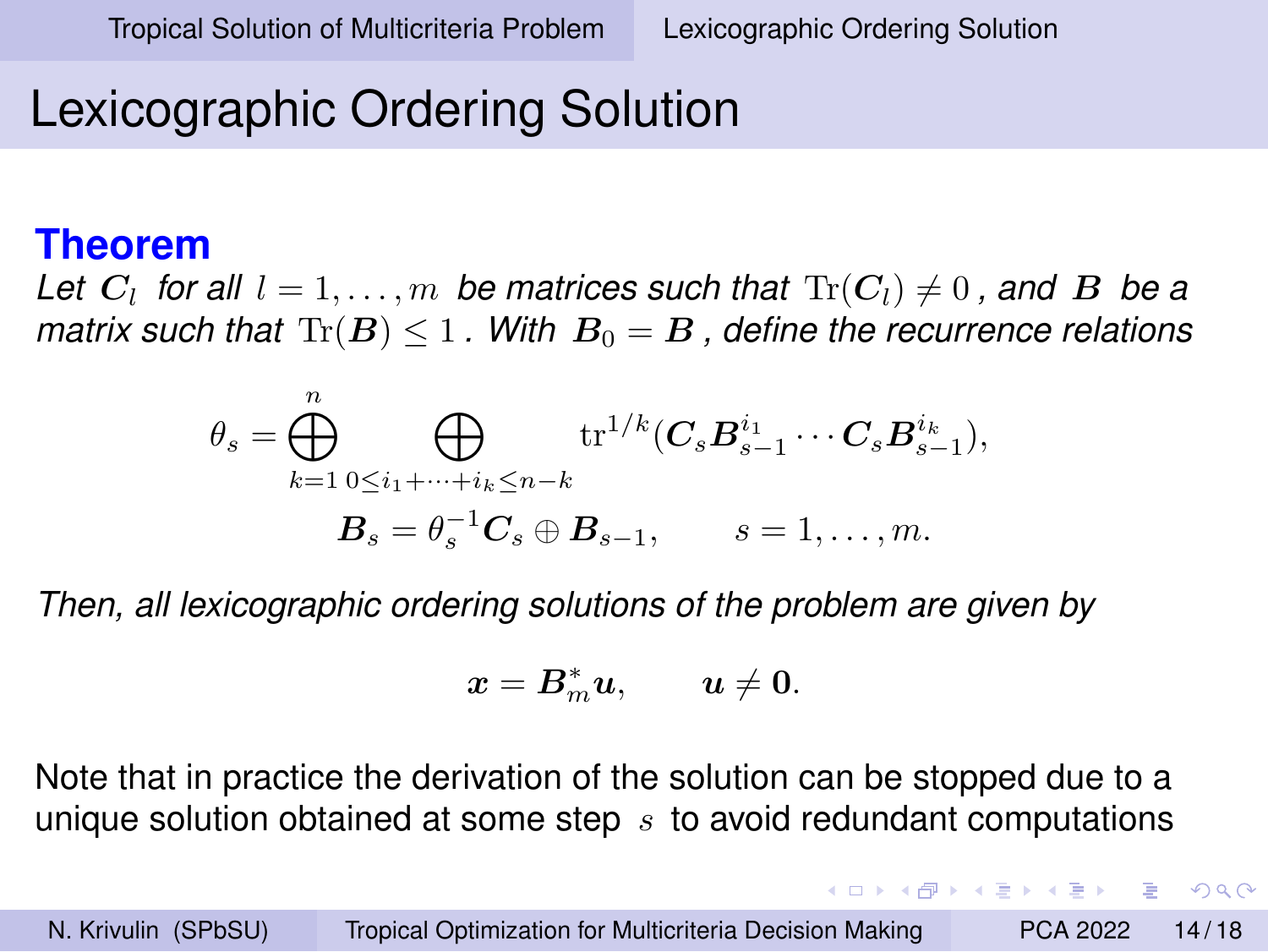K ロ ▶ K 何 ▶ K ヨ ▶ K ヨ ▶ ...

 $\equiv$   $\Omega$ 

## Lexicographic Ordering Solution

#### **Theorem**

Let  $C_l$  for all  $l = 1, \ldots, m$  be matrices such that  $\text{Tr}(C_l) \neq 0$  , and  $\boldsymbol{B}$  be a *matrix such that*  $Tr(B) \leq 1$ . With  $B_0 = B$ , define the recurrence relations

$$
\theta_s = \bigoplus_{k=1}^n \bigoplus_{0 \le i_1 + \dots + i_k \le n-k} \operatorname{tr}^{1/k} (C_s B_{s-1}^{i_1} \cdots C_s B_{s-1}^{i_k}),
$$
  

$$
B_s = \theta_s^{-1} C_s \oplus B_{s-1}, \qquad s = 1, \dots, m.
$$

*Then, all lexicographic ordering solutions of the problem are given by*

$$
\boldsymbol{x} = \boldsymbol{B}^*_m \boldsymbol{u}, \qquad \boldsymbol{u} \neq \boldsymbol{0}.
$$

Note that in practice the derivation of the solution can be stopped due to a unique solution obtained at some step  $s$  to avoid redundant computations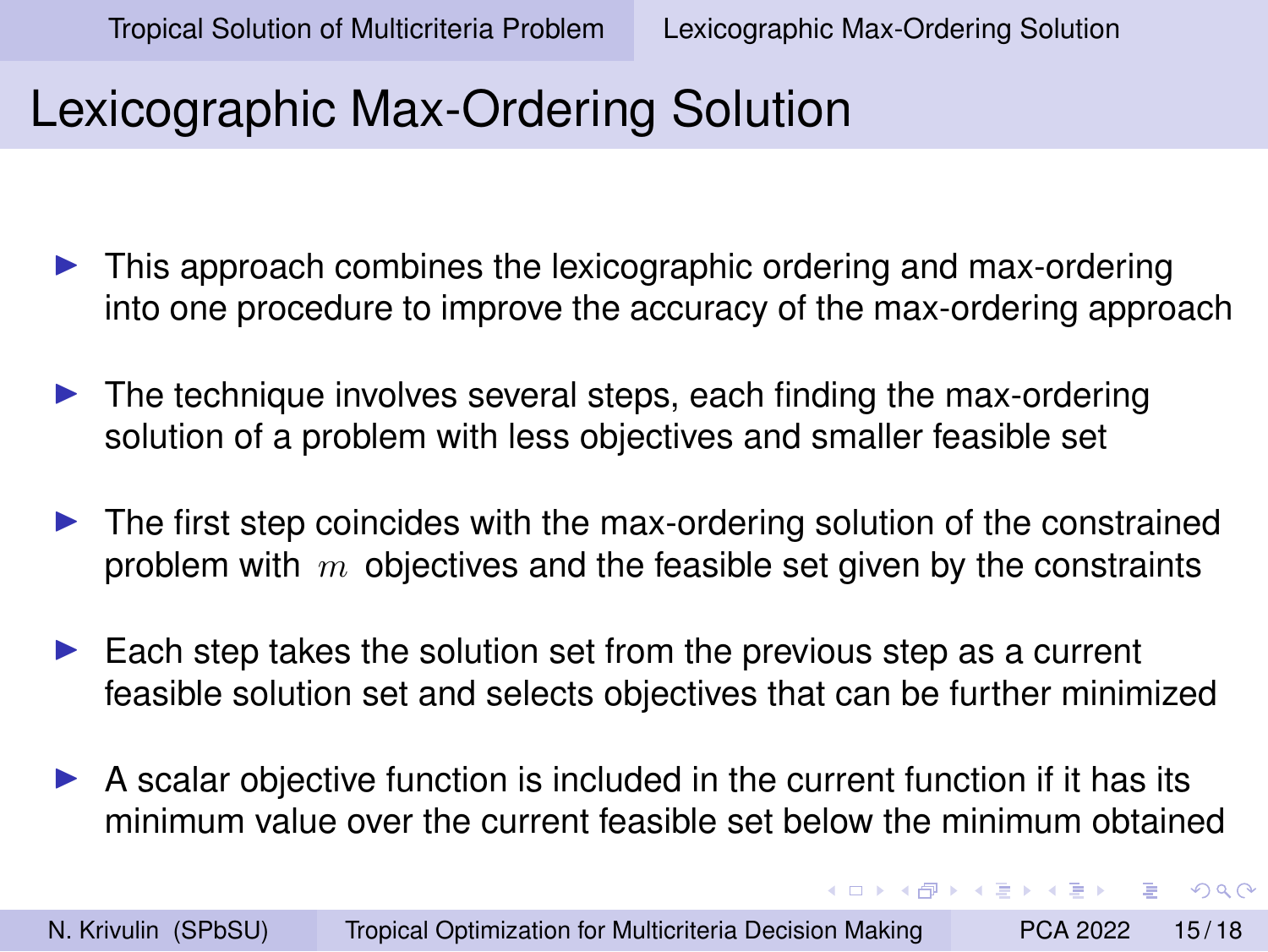イロト イ押 トイヨ トイヨト

 $2990$ 

## <span id="page-14-0"></span>Lexicographic Max-Ordering Solution

- $\triangleright$  This approach combines the lexicographic ordering and max-ordering into one procedure to improve the accuracy of the max-ordering approach
- $\blacktriangleright$  The technique involves several steps, each finding the max-ordering solution of a problem with less objectives and smaller feasible set
- $\blacktriangleright$  The first step coincides with the max-ordering solution of the constrained problem with  $m$  objectives and the feasible set given by the constraints
- $\blacktriangleright$  Each step takes the solution set from the previous step as a current feasible solution set and selects objectives that can be further minimized
- $\triangleright$  A scalar objective function is included in the current function if it has its minimum value over the current feasible set below the minimum obtained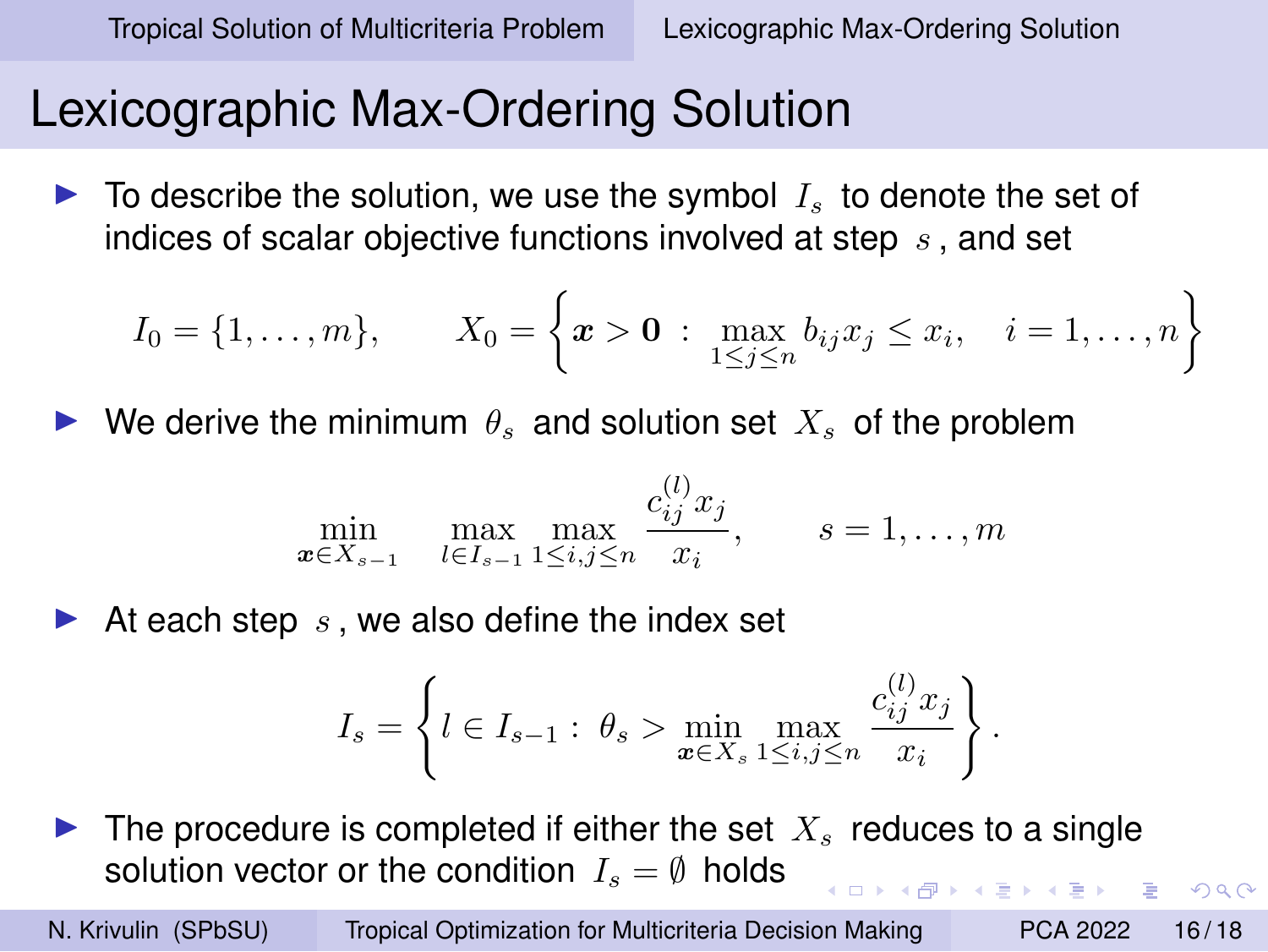$2990$ 

### Lexicographic Max-Ordering Solution

 $\blacktriangleright$  To describe the solution, we use the symbol  $I_s$  to denote the set of indices of scalar objective functions involved at step  $s$ , and set

$$
I_0 = \{1, ..., m\}, \qquad X_0 = \left\{ \boldsymbol{x} > \boldsymbol{0} : \max_{1 \leq j \leq n} b_{ij} x_j \leq x_i, \quad i = 1, ..., n \right\}
$$

 $\blacktriangleright$  We derive the minimum  $\theta_s$  and solution set  $X_s$  of the problem

$$
\min_{\bm{x} \in X_{s-1}} \max_{l \in I_{s-1}} \max_{1 \le i,j \le n} \frac{c_{ij}^{(l)} x_j}{x_i}, \qquad s = 1, \dots, m
$$

At each step  $s$ , we also define the index set

$$
I_s = \left\{ l \in I_{s-1} : \ \theta_s > \min_{\bm{x} \in X_s} \max_{1 \le i,j \le n} \frac{c_{ij}^{(l)} x_j}{x_i} \right\}.
$$

 $\blacktriangleright$  The procedure is completed if either the set  $X_s$  reduces to a single solution vector or the condition  $I_s = \emptyset$  holds

N. Krivulin (SPbSU) [Tropical Optimization for Multicriteria Decision Making](#page-0-0) PCA 2022 16/18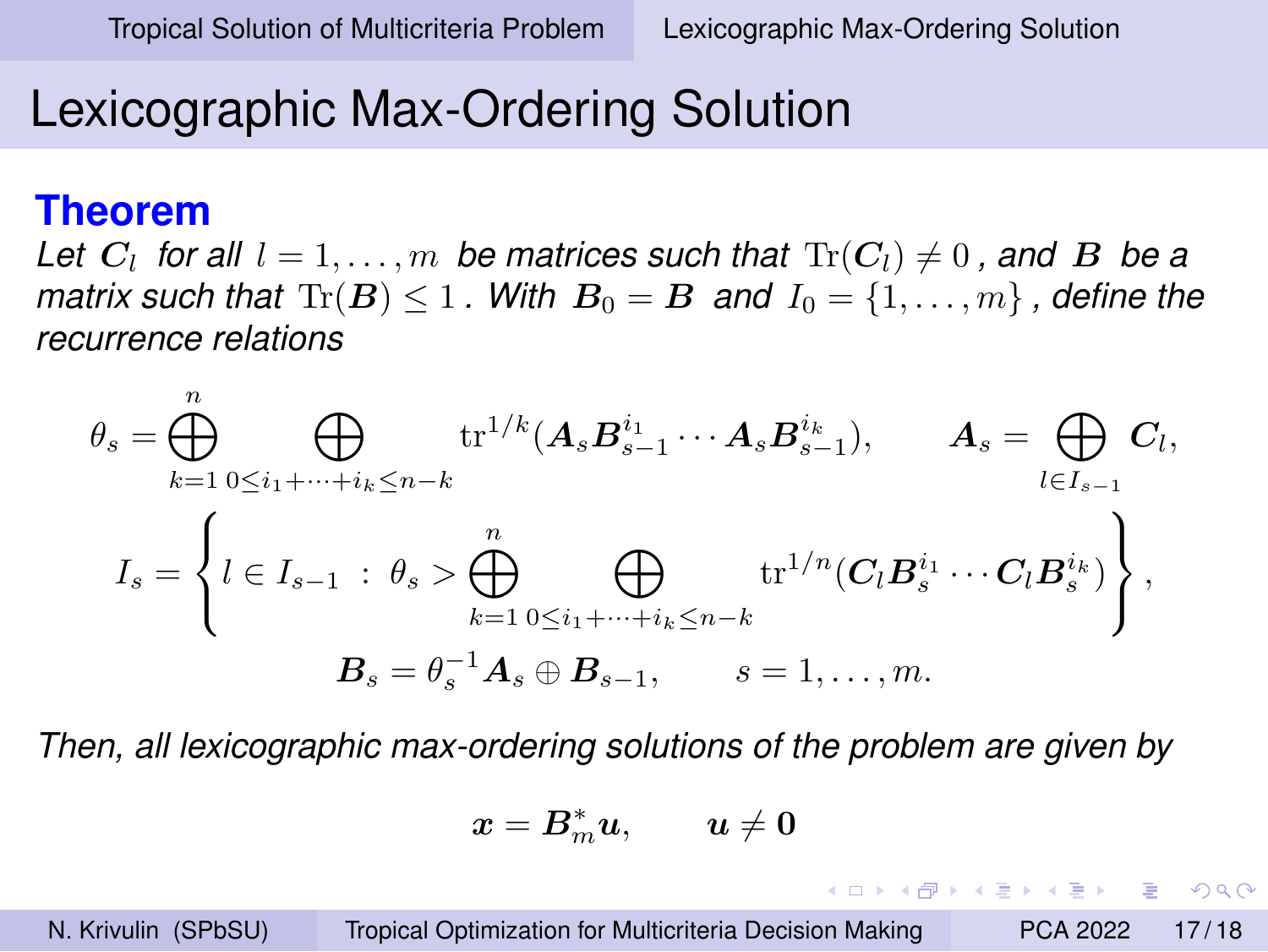## Lexicographic Max-Ordering Solution

#### **Theorem**

Let  $C_l$  for all  $l = 1, \ldots, m$  be matrices such that  $\text{Tr}(C_l) \neq 0$  , and  $\boldsymbol{B}$  be a *matrix such that*  $\text{Tr}(\mathbf{B}) \leq 1$ . With  $\mathbf{B}_0 = \mathbf{B}$  and  $I_0 = \{1, \ldots, m\}$ , define the *recurrence relations*

$$
\theta_s = \bigoplus_{k=1}^n \bigoplus_{0 \le i_1 + \dots + i_k \le n-k} \text{tr}^{1/k}(A_s B_{s-1}^{i_1} \cdots A_s B_{s-1}^{i_k}), \qquad A_s = \bigoplus_{l \in I_{s-1}} C_l,
$$
  

$$
I_s = \left\{ l \in I_{s-1} : \theta_s > \bigoplus_{k=1}^n \bigoplus_{0 \le i_1 + \dots + i_k \le n-k} \text{tr}^{1/n}(C_l B_s^{i_1} \cdots C_l B_s^{i_k}) \right\},
$$
  

$$
B_s = \theta_s^{-1} A_s \oplus B_{s-1}, \qquad s = 1, \dots, m.
$$

*Then, all lexicographic max-ordering solutions of the problem are given by*

$$
\boldsymbol{x} = \boldsymbol{B}^*_m \boldsymbol{u}, \qquad \boldsymbol{u} \neq \boldsymbol{0}
$$

KEL KALK KELKEL KARA